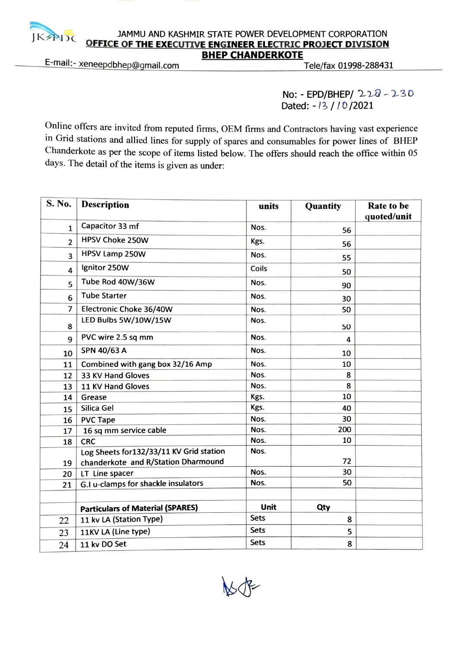## $\begin{array}{r} \text{JAMMUM} \text{JAND KASHMIR SIAIE POWER DEVELOPMENT CORPORATION} \\ \text{OFEICE OF THE EXECUTIVE ENGINEER ELECTRIC PROJECT DIVISION} \\ \text{BHEP CHANDERKOTE} \\ \text{E-mail:~xeneepdbhep@gmail.com} \end{array}$ JAMMU AND KASHMIR STATE POWER DEVELOPMENT CORPORATION<br>OFFICE OF THE EXECUTIVE ENGINEER ELECTRIC PROJECT DIVISION BHEP CHANDERKOTE<br>Tele/fax 01998-288431 Tele/fax 01998-288431

No: EPD/BHEP/ 228-23o Dated: -13 / 10 / 2021

Online offers are invited from reputed firms, OEM firms and Contractors having vast experience n Grid stations and allied lines for supply of spares and consumables for power lines of BHEP Chanderkote as per the scope of items listed below. The offers should reach the office within 05 days. The detail of the items is given as under:

| S. No.         | <b>Description</b>                      | units       | Quantity | Rate to be  |
|----------------|-----------------------------------------|-------------|----------|-------------|
|                | Capacitor 33 mf                         |             |          | quoted/unit |
| $\mathbf{1}$   |                                         | Nos.        | 56       |             |
| $\overline{2}$ | <b>HPSV Choke 250W</b>                  | Kgs.        | 56       |             |
| 3              | HPSV Lamp 250W                          | Nos.        | 55       |             |
| 4              | Ignitor 250W                            | Coils       | 50       |             |
| 5              | Tube Rod 40W/36W                        | Nos.        | 90       |             |
| 6              | <b>Tube Starter</b>                     | Nos.        | 30       |             |
| 7              | Electronic Choke 36/40W                 | Nos.        | 50       |             |
| 8              | LED Bulbs 5W/10W/15W                    | Nos.        | 50       |             |
| 9              | PVC wire 2.5 sq mm                      | Nos.        | 4        |             |
| 10             | SPN 40/63 A                             | Nos.        | 10       |             |
| 11             | Combined with gang box 32/16 Amp        | Nos.        | 10       |             |
| 12             | 33 KV Hand Gloves                       | Nos.        | 8        |             |
| 13             | 11 KV Hand Gloves                       | Nos.        | 8        |             |
| 14             | Grease                                  | Kgs.        | 10       |             |
| 15             | Silica Gel                              | Kgs.        | 40       |             |
| 16             | <b>PVC Tape</b>                         | Nos.        | 30       |             |
| 17             | 16 sq mm service cable                  | Nos.        | 200      |             |
| 18             | <b>CRC</b>                              | Nos.        | 10       |             |
|                | Log Sheets for132/33/11 KV Grid station | Nos.        |          |             |
| 19             | chanderkote and R/Station Dharmound     |             | 72       |             |
| 20             | LT Line spacer                          | Nos.        | 30       |             |
| 21             | G.I u-clamps for shackle insulators     | Nos.        | 50       |             |
|                |                                         |             |          |             |
|                | <b>Particulars of Material (SPARES)</b> | Unit        | Qty      |             |
| 22             | 11 kv LA (Station Type)                 | Sets        | 8        |             |
| 23             | 11KV LA (Line type)                     | <b>Sets</b> | 5        |             |
| 24             | 11 kv DO Set                            | <b>Sets</b> | 8        |             |